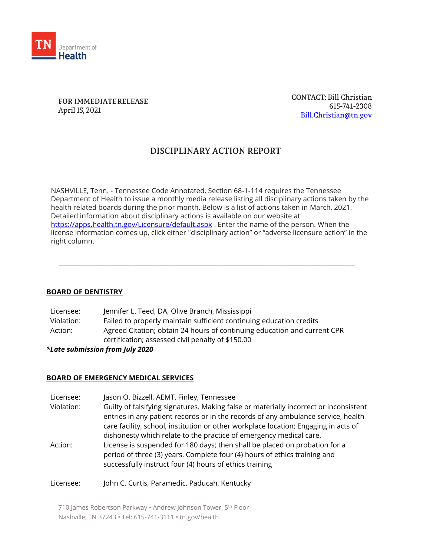

FOR IMMEDIATE RELEASE April 15, 2021

**CONTACT: Bill Christian** 615-741-2308 Bill.Christian@tn.gov

# DISCIPLINARY ACTION REPORT

NASHVILLE, Tenn. - Tennessee Code Annotated, Section 68-1-114 requires the Tennessee Department of Health to issue a monthly media release listing all disciplinary actions taken by the health related boards during the prior month. Below is a list of actions taken in March, 2021. Detailed information about disciplinary actions is available on our website at <https://apps.health.tn.gov/Licensure/default.aspx> . Enter the name of the person. When the license information comes up, click either "disciplinary action" or "adverse licensure action" in the right column.

\_\_\_\_\_\_\_\_\_\_\_\_\_\_\_\_\_\_\_\_\_\_\_\_\_\_\_\_\_\_\_\_\_\_\_\_\_\_\_\_\_\_\_\_\_\_\_\_\_\_\_\_\_\_\_\_\_\_\_\_\_\_\_\_\_\_\_\_\_\_\_\_\_\_\_\_\_\_\_\_\_\_\_\_\_\_\_\_\_\_\_\_\_\_

## **BOARD OF DENTISTRY**

| Licensee:  | Jennifer L. Teed, DA, Olive Branch, Mississippi                          |
|------------|--------------------------------------------------------------------------|
| Violation: | Failed to properly maintain sufficient continuing education credits      |
| Action:    | Agreed Citation; obtain 24 hours of continuing education and current CPR |
|            | certification; assessed civil penalty of \$150.00                        |

## *\*Late submission from July 2020*

## **BOARD OF EMERGENCY MEDICAL SERVICES**

| Licensee:  | Jason O. Bizzell, AEMT, Finley, Tennessee                                                                                                                                                                                                                                                                                               |
|------------|-----------------------------------------------------------------------------------------------------------------------------------------------------------------------------------------------------------------------------------------------------------------------------------------------------------------------------------------|
| Violation: | Guilty of falsifying signatures. Making false or materially incorrect or inconsistent<br>entries in any patient records or in the records of any ambulance service, health<br>care facility, school, institution or other workplace location; Engaging in acts of<br>dishonesty which relate to the practice of emergency medical care. |
| Action:    | License is suspended for 180 days; then shall be placed on probation for a<br>period of three (3) years. Complete four (4) hours of ethics training and<br>successfully instruct four (4) hours of ethics training                                                                                                                      |
| Licensee:  | John C. Curtis, Paramedic, Paducah, Kentucky                                                                                                                                                                                                                                                                                            |

710 James Robertson Parkway • Andrew Johnson Tower, 5<sup>th</sup> Floor Nashville, TN 37243 • Tel: 615-741-3111 • tn.gov/health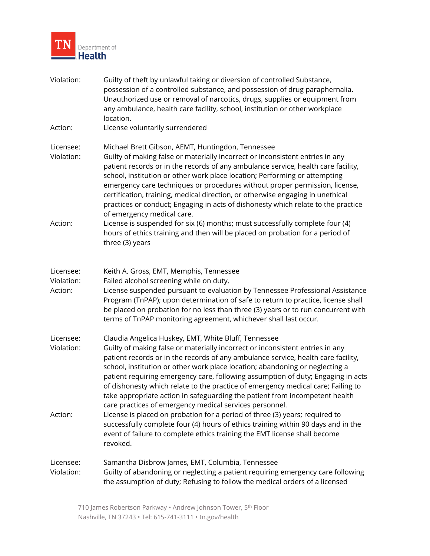

| Violation:                         | Guilty of theft by unlawful taking or diversion of controlled Substance,<br>possession of a controlled substance, and possession of drug paraphernalia.<br>Unauthorized use or removal of narcotics, drugs, supplies or equipment from<br>any ambulance, health care facility, school, institution or other workplace<br>location.                                                                                                                                                                                                                                                                                           |
|------------------------------------|------------------------------------------------------------------------------------------------------------------------------------------------------------------------------------------------------------------------------------------------------------------------------------------------------------------------------------------------------------------------------------------------------------------------------------------------------------------------------------------------------------------------------------------------------------------------------------------------------------------------------|
| Action:                            | License voluntarily surrendered                                                                                                                                                                                                                                                                                                                                                                                                                                                                                                                                                                                              |
| Licensee:<br>Violation:            | Michael Brett Gibson, AEMT, Huntingdon, Tennessee<br>Guilty of making false or materially incorrect or inconsistent entries in any<br>patient records or in the records of any ambulance service, health care facility,<br>school, institution or other work place location; Performing or attempting<br>emergency care techniques or procedures without proper permission, license,<br>certification, training, medical direction, or otherwise engaging in unethical<br>practices or conduct; Engaging in acts of dishonesty which relate to the practice<br>of emergency medical care.                                    |
| Action:                            | License is suspended for six (6) months; must successfully complete four (4)<br>hours of ethics training and then will be placed on probation for a period of<br>three (3) years                                                                                                                                                                                                                                                                                                                                                                                                                                             |
| Licensee:<br>Violation:<br>Action: | Keith A. Gross, EMT, Memphis, Tennessee<br>Failed alcohol screening while on duty.<br>License suspended pursuant to evaluation by Tennessee Professional Assistance<br>Program (TnPAP); upon determination of safe to return to practice, license shall<br>be placed on probation for no less than three (3) years or to run concurrent with<br>terms of TnPAP monitoring agreement, whichever shall last occur.                                                                                                                                                                                                             |
| Licensee:<br>Violation:            | Claudia Angelica Huskey, EMT, White Bluff, Tennessee<br>Guilty of making false or materially incorrect or inconsistent entries in any<br>patient records or in the records of any ambulance service, health care facility,<br>school, institution or other work place location; abandoning or neglecting a<br>patient requiring emergency care, following assumption of duty; Engaging in acts<br>of dishonesty which relate to the practice of emergency medical care; Failing to<br>take appropriate action in safeguarding the patient from incompetent health<br>care practices of emergency medical services personnel. |
| Action:                            | License is placed on probation for a period of three (3) years; required to<br>successfully complete four (4) hours of ethics training within 90 days and in the<br>event of failure to complete ethics training the EMT license shall become<br>revoked.                                                                                                                                                                                                                                                                                                                                                                    |
| Licensee:<br>Violation:            | Samantha Disbrow James, EMT, Columbia, Tennessee<br>Guilty of abandoning or neglecting a patient requiring emergency care following<br>the assumption of duty; Refusing to follow the medical orders of a licensed                                                                                                                                                                                                                                                                                                                                                                                                           |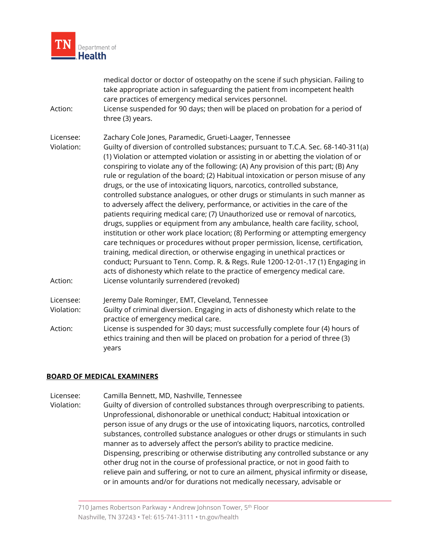

| Action:                 | medical doctor or doctor of osteopathy on the scene if such physician. Failing to<br>take appropriate action in safeguarding the patient from incompetent health<br>care practices of emergency medical services personnel.<br>License suspended for 90 days; then will be placed on probation for a period of<br>three (3) years.                                                                                                                                                                                                                                                                                                                                                                                                                                                                                                                                                                                                                                                                                                                                                                  |
|-------------------------|-----------------------------------------------------------------------------------------------------------------------------------------------------------------------------------------------------------------------------------------------------------------------------------------------------------------------------------------------------------------------------------------------------------------------------------------------------------------------------------------------------------------------------------------------------------------------------------------------------------------------------------------------------------------------------------------------------------------------------------------------------------------------------------------------------------------------------------------------------------------------------------------------------------------------------------------------------------------------------------------------------------------------------------------------------------------------------------------------------|
| Licensee:<br>Violation: | Zachary Cole Jones, Paramedic, Grueti-Laager, Tennessee<br>Guilty of diversion of controlled substances; pursuant to T.C.A. Sec. 68-140-311(a)<br>(1) Violation or attempted violation or assisting in or abetting the violation of or<br>conspiring to violate any of the following: (A) Any provision of this part; (B) Any<br>rule or regulation of the board; (2) Habitual intoxication or person misuse of any<br>drugs, or the use of intoxicating liquors, narcotics, controlled substance,<br>controlled substance analogues, or other drugs or stimulants in such manner as<br>to adversely affect the delivery, performance, or activities in the care of the<br>patients requiring medical care; (7) Unauthorized use or removal of narcotics,<br>drugs, supplies or equipment from any ambulance, health care facility, school,<br>institution or other work place location; (8) Performing or attempting emergency<br>care techniques or procedures without proper permission, license, certification,<br>training, medical direction, or otherwise engaging in unethical practices or |
| Action:                 | conduct; Pursuant to Tenn. Comp. R. & Regs. Rule 1200-12-01-.17 (1) Engaging in<br>acts of dishonesty which relate to the practice of emergency medical care.<br>License voluntarily surrendered (revoked)                                                                                                                                                                                                                                                                                                                                                                                                                                                                                                                                                                                                                                                                                                                                                                                                                                                                                          |
| Licensee:               | Jeremy Dale Rominger, EMT, Cleveland, Tennessee                                                                                                                                                                                                                                                                                                                                                                                                                                                                                                                                                                                                                                                                                                                                                                                                                                                                                                                                                                                                                                                     |
| Violation:              | Guilty of criminal diversion. Engaging in acts of dishonesty which relate to the<br>practice of emergency medical care.                                                                                                                                                                                                                                                                                                                                                                                                                                                                                                                                                                                                                                                                                                                                                                                                                                                                                                                                                                             |
| Action:                 | License is suspended for 30 days; must successfully complete four (4) hours of<br>ethics training and then will be placed on probation for a period of three (3)<br>years                                                                                                                                                                                                                                                                                                                                                                                                                                                                                                                                                                                                                                                                                                                                                                                                                                                                                                                           |

## **BOARD OF MEDICAL EXAMINERS**

Licensee: Camilla Bennett, MD, Nashville, Tennessee

Violation: Guilty of diversion of controlled substances through overprescribing to patients. Unprofessional, dishonorable or unethical conduct; Habitual intoxication or person issue of any drugs or the use of intoxicating liquors, narcotics, controlled substances, controlled substance analogues or other drugs or stimulants in such manner as to adversely affect the person's ability to practice medicine. Dispensing, prescribing or otherwise distributing any controlled substance or any other drug not in the course of professional practice, or not in good faith to relieve pain and suffering, or not to cure an ailment, physical infirmity or disease, or in amounts and/or for durations not medically necessary, advisable or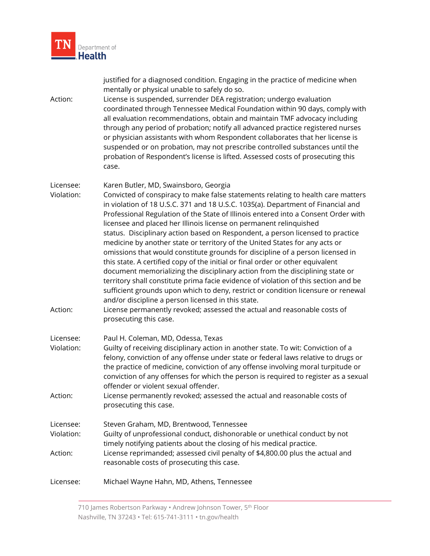

| Action:                            | justified for a diagnosed condition. Engaging in the practice of medicine when<br>mentally or physical unable to safely do so.<br>License is suspended, surrender DEA registration; undergo evaluation<br>coordinated through Tennessee Medical Foundation within 90 days, comply with<br>all evaluation recommendations, obtain and maintain TMF advocacy including<br>through any period of probation; notify all advanced practice registered nurses<br>or physician assistants with whom Respondent collaborates that her license is<br>suspended or on probation, may not prescribe controlled substances until the<br>probation of Respondent's license is lifted. Assessed costs of prosecuting this<br>case.                                                                                                                                                                                                                                                                                                                                                                                          |
|------------------------------------|---------------------------------------------------------------------------------------------------------------------------------------------------------------------------------------------------------------------------------------------------------------------------------------------------------------------------------------------------------------------------------------------------------------------------------------------------------------------------------------------------------------------------------------------------------------------------------------------------------------------------------------------------------------------------------------------------------------------------------------------------------------------------------------------------------------------------------------------------------------------------------------------------------------------------------------------------------------------------------------------------------------------------------------------------------------------------------------------------------------|
| Licensee:<br>Violation:<br>Action: | Karen Butler, MD, Swainsboro, Georgia<br>Convicted of conspiracy to make false statements relating to health care matters<br>in violation of 18 U.S.C. 371 and 18 U.S.C. 1035(a). Department of Financial and<br>Professional Regulation of the State of Illinois entered into a Consent Order with<br>licensee and placed her Illinois license on permanent relinquished<br>status. Disciplinary action based on Respondent, a person licensed to practice<br>medicine by another state or territory of the United States for any acts or<br>omissions that would constitute grounds for discipline of a person licensed in<br>this state. A certified copy of the initial or final order or other equivalent<br>document memorializing the disciplinary action from the disciplining state or<br>territory shall constitute prima facie evidence of violation of this section and be<br>sufficient grounds upon which to deny, restrict or condition licensure or renewal<br>and/or discipline a person licensed in this state.<br>License permanently revoked; assessed the actual and reasonable costs of |
|                                    | prosecuting this case.                                                                                                                                                                                                                                                                                                                                                                                                                                                                                                                                                                                                                                                                                                                                                                                                                                                                                                                                                                                                                                                                                        |
| Licensee:<br>Violation:            | Paul H. Coleman, MD, Odessa, Texas<br>Guilty of receiving disciplinary action in another state. To wit: Conviction of a<br>felony, conviction of any offense under state or federal laws relative to drugs or<br>the practice of medicine, conviction of any offense involving moral turpitude or<br>conviction of any offenses for which the person is required to register as a sexual<br>offender or violent sexual offender.                                                                                                                                                                                                                                                                                                                                                                                                                                                                                                                                                                                                                                                                              |
| Action:                            | License permanently revoked; assessed the actual and reasonable costs of<br>prosecuting this case.                                                                                                                                                                                                                                                                                                                                                                                                                                                                                                                                                                                                                                                                                                                                                                                                                                                                                                                                                                                                            |
| Licensee:<br>Violation:            | Steven Graham, MD, Brentwood, Tennessee<br>Guilty of unprofessional conduct, dishonorable or unethical conduct by not<br>timely notifying patients about the closing of his medical practice.                                                                                                                                                                                                                                                                                                                                                                                                                                                                                                                                                                                                                                                                                                                                                                                                                                                                                                                 |
| Action:                            | License reprimanded; assessed civil penalty of \$4,800.00 plus the actual and<br>reasonable costs of prosecuting this case.                                                                                                                                                                                                                                                                                                                                                                                                                                                                                                                                                                                                                                                                                                                                                                                                                                                                                                                                                                                   |
| Licensee:                          | Michael Wayne Hahn, MD, Athens, Tennessee                                                                                                                                                                                                                                                                                                                                                                                                                                                                                                                                                                                                                                                                                                                                                                                                                                                                                                                                                                                                                                                                     |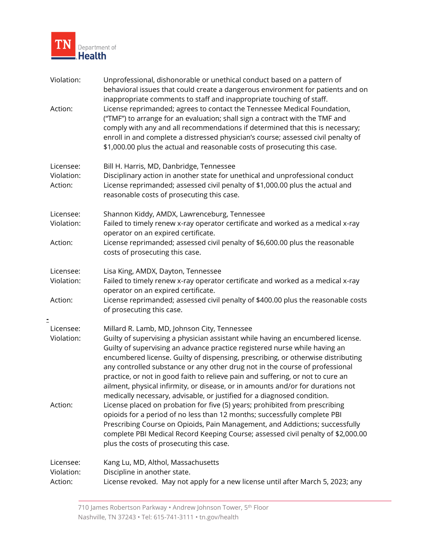

| Violation:<br>Action:              | Unprofessional, dishonorable or unethical conduct based on a pattern of<br>behavioral issues that could create a dangerous environment for patients and on<br>inappropriate comments to staff and inappropriate touching of staff.<br>License reprimanded; agrees to contact the Tennessee Medical Foundation,<br>("TMF") to arrange for an evaluation; shall sign a contract with the TMF and<br>comply with any and all recommendations if determined that this is necessary;<br>enroll in and complete a distressed physician's course; assessed civil penalty of<br>\$1,000.00 plus the actual and reasonable costs of prosecuting this case.                                                                                                                                                                                                                                                                                                                                                              |
|------------------------------------|----------------------------------------------------------------------------------------------------------------------------------------------------------------------------------------------------------------------------------------------------------------------------------------------------------------------------------------------------------------------------------------------------------------------------------------------------------------------------------------------------------------------------------------------------------------------------------------------------------------------------------------------------------------------------------------------------------------------------------------------------------------------------------------------------------------------------------------------------------------------------------------------------------------------------------------------------------------------------------------------------------------|
| Licensee:<br>Violation:<br>Action: | Bill H. Harris, MD, Danbridge, Tennessee<br>Disciplinary action in another state for unethical and unprofessional conduct<br>License reprimanded; assessed civil penalty of \$1,000.00 plus the actual and<br>reasonable costs of prosecuting this case.                                                                                                                                                                                                                                                                                                                                                                                                                                                                                                                                                                                                                                                                                                                                                       |
| Licensee:<br>Violation:<br>Action: | Shannon Kiddy, AMDX, Lawrenceburg, Tennessee<br>Failed to timely renew x-ray operator certificate and worked as a medical x-ray<br>operator on an expired certificate.<br>License reprimanded; assessed civil penalty of \$6,600.00 plus the reasonable<br>costs of prosecuting this case.                                                                                                                                                                                                                                                                                                                                                                                                                                                                                                                                                                                                                                                                                                                     |
| Licensee:<br>Violation:<br>Action: | Lisa King, AMDX, Dayton, Tennessee<br>Failed to timely renew x-ray operator certificate and worked as a medical x-ray<br>operator on an expired certificate.<br>License reprimanded; assessed civil penalty of \$400.00 plus the reasonable costs<br>of prosecuting this case.                                                                                                                                                                                                                                                                                                                                                                                                                                                                                                                                                                                                                                                                                                                                 |
| Licensee:<br>Violation:<br>Action: | Millard R. Lamb, MD, Johnson City, Tennessee<br>Guilty of supervising a physician assistant while having an encumbered license.<br>Guilty of supervising an advance practice registered nurse while having an<br>encumbered license. Guilty of dispensing, prescribing, or otherwise distributing<br>any controlled substance or any other drug not in the course of professional<br>practice, or not in good faith to relieve pain and suffering, or not to cure an<br>ailment, physical infirmity, or disease, or in amounts and/or for durations not<br>medically necessary, advisable, or justified for a diagnosed condition.<br>License placed on probation for five (5) years; prohibited from prescribing<br>opioids for a period of no less than 12 months; successfully complete PBI<br>Prescribing Course on Opioids, Pain Management, and Addictions; successfully<br>complete PBI Medical Record Keeping Course; assessed civil penalty of \$2,000.00<br>plus the costs of prosecuting this case. |
| Licensee:<br>Violation:<br>Action: | Kang Lu, MD, Althol, Massachusetts<br>Discipline in another state.<br>License revoked. May not apply for a new license until after March 5, 2023; any                                                                                                                                                                                                                                                                                                                                                                                                                                                                                                                                                                                                                                                                                                                                                                                                                                                          |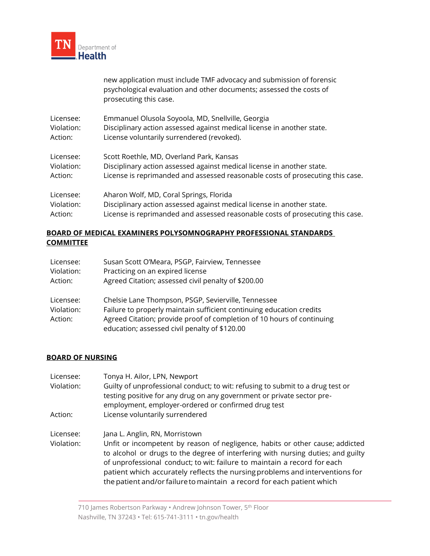

|            | new application must include TMF advocacy and submission of forensic<br>psychological evaluation and other documents; assessed the costs of<br>prosecuting this case. |
|------------|-----------------------------------------------------------------------------------------------------------------------------------------------------------------------|
| Licensee:  | Emmanuel Olusola Soyoola, MD, Snellville, Georgia                                                                                                                     |
| Violation: | Disciplinary action assessed against medical license in another state.                                                                                                |
| Action:    | License voluntarily surrendered (revoked).                                                                                                                            |
| Licensee:  | Scott Roethle, MD, Overland Park, Kansas                                                                                                                              |
| Violation: | Disciplinary action assessed against medical license in another state.                                                                                                |
| Action:    | License is reprimanded and assessed reasonable costs of prosecuting this case.                                                                                        |
| Licensee:  | Aharon Wolf, MD, Coral Springs, Florida                                                                                                                               |
| Violation: | Disciplinary action assessed against medical license in another state.                                                                                                |
| Action:    | License is reprimanded and assessed reasonable costs of prosecuting this case.                                                                                        |

# **BOARD OF MEDICAL EXAMINERS POLYSOMNOGRAPHY PROFESSIONAL STANDARDS COMMITTEE**

| Licensee:  | Susan Scott O'Meara, PSGP, Fairview, Tennessee                         |
|------------|------------------------------------------------------------------------|
| Violation: | Practicing on an expired license                                       |
| Action:    | Agreed Citation; assessed civil penalty of \$200.00                    |
| Licensee:  | Chelsie Lane Thompson, PSGP, Sevierville, Tennessee                    |
| Violation: | Failure to properly maintain sufficient continuing education credits   |
| Action:    | Agreed Citation; provide proof of completion of 10 hours of continuing |
|            | education; assessed civil penalty of \$120.00                          |

# **BOARD OF NURSING**

| Licensee:<br>Violation: | Tonya H. Ailor, LPN, Newport<br>Guilty of unprofessional conduct; to wit: refusing to submit to a drug test or<br>testing positive for any drug on any government or private sector pre-<br>employment, employer-ordered or confirmed drug test                                                                                                                                                         |
|-------------------------|---------------------------------------------------------------------------------------------------------------------------------------------------------------------------------------------------------------------------------------------------------------------------------------------------------------------------------------------------------------------------------------------------------|
| Action:                 | License voluntarily surrendered                                                                                                                                                                                                                                                                                                                                                                         |
| Licensee:               | Jana L. Anglin, RN, Morristown                                                                                                                                                                                                                                                                                                                                                                          |
| Violation:              | Unfit or incompetent by reason of negligence, habits or other cause; addicted<br>to alcohol or drugs to the degree of interfering with nursing duties; and guilty<br>of unprofessional conduct; to wit: failure to maintain a record for each<br>patient which accurately reflects the nursing problems and interventions for<br>the patient and/or failure to maintain a record for each patient which |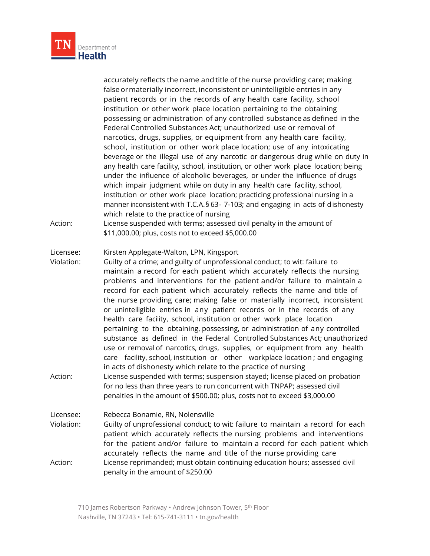

| Action:                            | accurately reflects the name and title of the nurse providing care; making<br>false or materially incorrect, inconsistent or unintelligible entries in any<br>patient records or in the records of any health care facility, school<br>institution or other work place location pertaining to the obtaining<br>possessing or administration of any controlled substance as defined in the<br>Federal Controlled Substances Act; unauthorized use or removal of<br>narcotics, drugs, supplies, or equipment from any health care facility,<br>school, institution or other work place location; use of any intoxicating<br>beverage or the illegal use of any narcotic or dangerous drug while on duty in<br>any health care facility, school, institution, or other work place location; being<br>under the influence of alcoholic beverages, or under the influence of drugs<br>which impair judgment while on duty in any health care facility, school,<br>institution or other work place location; practicing professional nursing in a<br>manner inconsistent with T.C.A. § 63-7-103; and engaging in acts of dishonesty<br>which relate to the practice of nursing<br>License suspended with terms; assessed civil penalty in the amount of<br>\$11,000.00; plus, costs not to exceed \$5,000.00 |
|------------------------------------|--------------------------------------------------------------------------------------------------------------------------------------------------------------------------------------------------------------------------------------------------------------------------------------------------------------------------------------------------------------------------------------------------------------------------------------------------------------------------------------------------------------------------------------------------------------------------------------------------------------------------------------------------------------------------------------------------------------------------------------------------------------------------------------------------------------------------------------------------------------------------------------------------------------------------------------------------------------------------------------------------------------------------------------------------------------------------------------------------------------------------------------------------------------------------------------------------------------------------------------------------------------------------------------------------------|
| Licensee:<br>Violation:<br>Action: | Kirsten Applegate-Walton, LPN, Kingsport<br>Guilty of a crime; and guilty of unprofessional conduct; to wit: failure to<br>maintain a record for each patient which accurately reflects the nursing<br>problems and interventions for the patient and/or failure to maintain a<br>record for each patient which accurately reflects the name and title of<br>the nurse providing care; making false or materially incorrect, inconsistent<br>or unintelligible entries in any patient records or in the records of any<br>health care facility, school, institution or other work place location<br>pertaining to the obtaining, possessing, or administration of any controlled<br>substance as defined in the Federal Controlled Substances Act; unauthorized<br>use or removal of narcotics, drugs, supplies, or equipment from any health<br>care facility, school, institution or other workplace location; and engaging<br>in acts of dishonesty which relate to the practice of nursing<br>License suspended with terms; suspension stayed; license placed on probation<br>for no less than three years to run concurrent with TNPAP; assessed civil<br>penalties in the amount of \$500.00; plus, costs not to exceed \$3,000.00                                                               |
| Licensee:<br>Violation:<br>Action: | Rebecca Bonamie, RN, Nolensville<br>Guilty of unprofessional conduct; to wit: failure to maintain a record for each<br>patient which accurately reflects the nursing problems and interventions<br>for the patient and/or failure to maintain a record for each patient which<br>accurately reflects the name and title of the nurse providing care<br>License reprimanded; must obtain continuing education hours; assessed civil<br>penalty in the amount of \$250.00                                                                                                                                                                                                                                                                                                                                                                                                                                                                                                                                                                                                                                                                                                                                                                                                                                |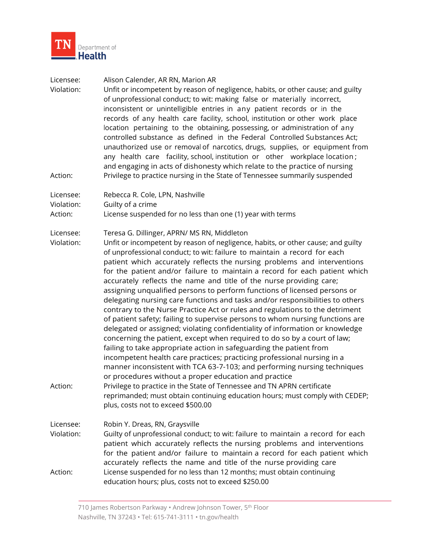

| Licensee:<br>Violation:            | Alison Calender, AR RN, Marion AR<br>Unfit or incompetent by reason of negligence, habits, or other cause; and guilty<br>of unprofessional conduct; to wit: making false or materially incorrect,<br>inconsistent or unintelligible entries in any patient records or in the<br>records of any health care facility, school, institution or other work place<br>location pertaining to the obtaining, possessing, or administration of any<br>controlled substance as defined in the Federal Controlled Substances Act;<br>unauthorized use or removal of narcotics, drugs, supplies, or equipment from<br>any health care facility, school, institution or other workplace location;<br>and engaging in acts of dishonesty which relate to the practice of nursing                                                                                                                                                                                                                                                                                                                                                                                                                                                                                                                                                                                                                                                             |
|------------------------------------|---------------------------------------------------------------------------------------------------------------------------------------------------------------------------------------------------------------------------------------------------------------------------------------------------------------------------------------------------------------------------------------------------------------------------------------------------------------------------------------------------------------------------------------------------------------------------------------------------------------------------------------------------------------------------------------------------------------------------------------------------------------------------------------------------------------------------------------------------------------------------------------------------------------------------------------------------------------------------------------------------------------------------------------------------------------------------------------------------------------------------------------------------------------------------------------------------------------------------------------------------------------------------------------------------------------------------------------------------------------------------------------------------------------------------------|
| Action:                            | Privilege to practice nursing in the State of Tennessee summarily suspended                                                                                                                                                                                                                                                                                                                                                                                                                                                                                                                                                                                                                                                                                                                                                                                                                                                                                                                                                                                                                                                                                                                                                                                                                                                                                                                                                     |
| Licensee:<br>Violation:<br>Action: | Rebecca R. Cole, LPN, Nashville<br>Guilty of a crime<br>License suspended for no less than one (1) year with terms                                                                                                                                                                                                                                                                                                                                                                                                                                                                                                                                                                                                                                                                                                                                                                                                                                                                                                                                                                                                                                                                                                                                                                                                                                                                                                              |
| Licensee:<br>Violation:<br>Action: | Teresa G. Dillinger, APRN/ MS RN, Middleton<br>Unfit or incompetent by reason of negligence, habits, or other cause; and guilty<br>of unprofessional conduct; to wit: failure to maintain a record for each<br>patient which accurately reflects the nursing problems and interventions<br>for the patient and/or failure to maintain a record for each patient which<br>accurately reflects the name and title of the nurse providing care;<br>assigning unqualified persons to perform functions of licensed persons or<br>delegating nursing care functions and tasks and/or responsibilities to others<br>contrary to the Nurse Practice Act or rules and regulations to the detriment<br>of patient safety; failing to supervise persons to whom nursing functions are<br>delegated or assigned; violating confidentiality of information or knowledge<br>concerning the patient, except when required to do so by a court of law;<br>failing to take appropriate action in safeguarding the patient from<br>incompetent health care practices; practicing professional nursing in a<br>manner inconsistent with TCA 63-7-103; and performing nursing techniques<br>or procedures without a proper education and practice<br>Privilege to practice in the State of Tennessee and TN APRN certificate<br>reprimanded; must obtain continuing education hours; must comply with CEDEP;<br>plus, costs not to exceed \$500.00 |
| Licensee:<br>Violation:<br>Action: | Robin Y. Dreas, RN, Graysville<br>Guilty of unprofessional conduct; to wit: failure to maintain a record for each<br>patient which accurately reflects the nursing problems and interventions<br>for the patient and/or failure to maintain a record for each patient which<br>accurately reflects the name and title of the nurse providing care<br>License suspended for no less than 12 months; must obtain continuing                                                                                                                                                                                                                                                                                                                                                                                                                                                                                                                                                                                                                                                                                                                                                                                                                                                                                                                                                                                                       |
|                                    | education hours; plus, costs not to exceed \$250.00                                                                                                                                                                                                                                                                                                                                                                                                                                                                                                                                                                                                                                                                                                                                                                                                                                                                                                                                                                                                                                                                                                                                                                                                                                                                                                                                                                             |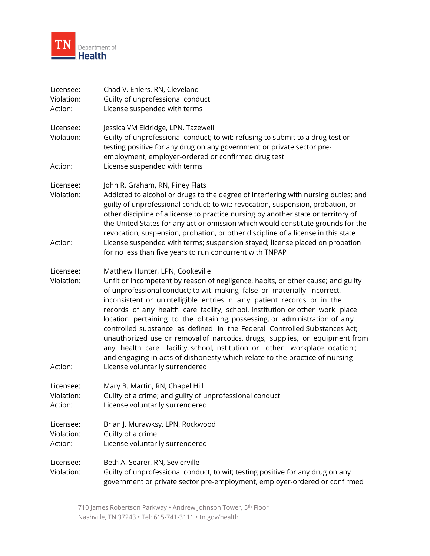

| Licensee:  | Chad V. Ehlers, RN, Cleveland                                                                                                                                                                                                                                                                                                                                                                                                                                                                                                                                                                                                                                                                                                  |
|------------|--------------------------------------------------------------------------------------------------------------------------------------------------------------------------------------------------------------------------------------------------------------------------------------------------------------------------------------------------------------------------------------------------------------------------------------------------------------------------------------------------------------------------------------------------------------------------------------------------------------------------------------------------------------------------------------------------------------------------------|
| Violation: | Guilty of unprofessional conduct                                                                                                                                                                                                                                                                                                                                                                                                                                                                                                                                                                                                                                                                                               |
| Action:    | License suspended with terms                                                                                                                                                                                                                                                                                                                                                                                                                                                                                                                                                                                                                                                                                                   |
| Licensee:  | Jessica VM Eldridge, LPN, Tazewell                                                                                                                                                                                                                                                                                                                                                                                                                                                                                                                                                                                                                                                                                             |
| Violation: | Guilty of unprofessional conduct; to wit: refusing to submit to a drug test or<br>testing positive for any drug on any government or private sector pre-<br>employment, employer-ordered or confirmed drug test                                                                                                                                                                                                                                                                                                                                                                                                                                                                                                                |
| Action:    | License suspended with terms                                                                                                                                                                                                                                                                                                                                                                                                                                                                                                                                                                                                                                                                                                   |
| Licensee:  | John R. Graham, RN, Piney Flats                                                                                                                                                                                                                                                                                                                                                                                                                                                                                                                                                                                                                                                                                                |
| Violation: | Addicted to alcohol or drugs to the degree of interfering with nursing duties; and<br>guilty of unprofessional conduct; to wit: revocation, suspension, probation, or<br>other discipline of a license to practice nursing by another state or territory of<br>the United States for any act or omission which would constitute grounds for the<br>revocation, suspension, probation, or other discipline of a license in this state                                                                                                                                                                                                                                                                                           |
| Action:    | License suspended with terms; suspension stayed; license placed on probation<br>for no less than five years to run concurrent with TNPAP                                                                                                                                                                                                                                                                                                                                                                                                                                                                                                                                                                                       |
| Licensee:  | Matthew Hunter, LPN, Cookeville                                                                                                                                                                                                                                                                                                                                                                                                                                                                                                                                                                                                                                                                                                |
| Violation: | Unfit or incompetent by reason of negligence, habits, or other cause; and guilty<br>of unprofessional conduct; to wit: making false or materially incorrect,<br>inconsistent or unintelligible entries in any patient records or in the<br>records of any health care facility, school, institution or other work place<br>location pertaining to the obtaining, possessing, or administration of any<br>controlled substance as defined in the Federal Controlled Substances Act;<br>unauthorized use or removal of narcotics, drugs, supplies, or equipment from<br>any health care facility, school, institution or other workplace location;<br>and engaging in acts of dishonesty which relate to the practice of nursing |
| Action:    | License voluntarily surrendered                                                                                                                                                                                                                                                                                                                                                                                                                                                                                                                                                                                                                                                                                                |
| Licensee:  | Mary B. Martin, RN, Chapel Hill                                                                                                                                                                                                                                                                                                                                                                                                                                                                                                                                                                                                                                                                                                |
| Violation: | Guilty of a crime; and guilty of unprofessional conduct                                                                                                                                                                                                                                                                                                                                                                                                                                                                                                                                                                                                                                                                        |
| Action:    | License voluntarily surrendered                                                                                                                                                                                                                                                                                                                                                                                                                                                                                                                                                                                                                                                                                                |
| Licensee:  | Brian J. Murawksy, LPN, Rockwood                                                                                                                                                                                                                                                                                                                                                                                                                                                                                                                                                                                                                                                                                               |
| Violation: | Guilty of a crime                                                                                                                                                                                                                                                                                                                                                                                                                                                                                                                                                                                                                                                                                                              |
| Action:    | License voluntarily surrendered                                                                                                                                                                                                                                                                                                                                                                                                                                                                                                                                                                                                                                                                                                |
| Licensee:  | Beth A. Searer, RN, Sevierville                                                                                                                                                                                                                                                                                                                                                                                                                                                                                                                                                                                                                                                                                                |
| Violation: | Guilty of unprofessional conduct; to wit; testing positive for any drug on any<br>government or private sector pre-employment, employer-ordered or confirmed                                                                                                                                                                                                                                                                                                                                                                                                                                                                                                                                                                   |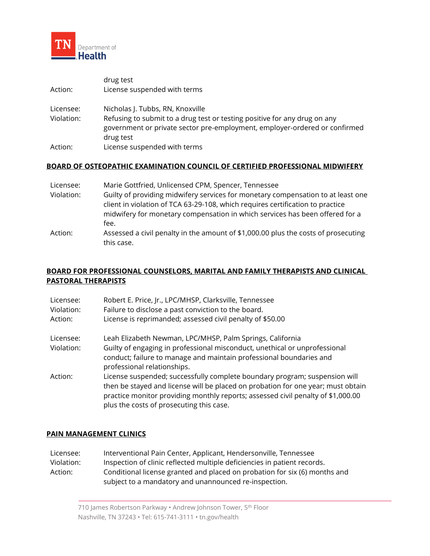

| Action:                 | drug test<br>License suspended with terms                                                                                                                                                                |
|-------------------------|----------------------------------------------------------------------------------------------------------------------------------------------------------------------------------------------------------|
| Licensee:<br>Violation: | Nicholas J. Tubbs, RN, Knoxville<br>Refusing to submit to a drug test or testing positive for any drug on any<br>government or private sector pre-employment, employer-ordered or confirmed<br>drug test |
| Action:                 | License suspended with terms                                                                                                                                                                             |

## **BOARD OF OSTEOPATHIC EXAMINATION COUNCIL OF CERTIFIED PROFESSIONAL MIDWIFERY**

| Licensee:  | Marie Gottfried, Unlicensed CPM, Spencer, Tennessee                                                                                                                                                                                                        |
|------------|------------------------------------------------------------------------------------------------------------------------------------------------------------------------------------------------------------------------------------------------------------|
| Violation: | Guilty of providing midwifery services for monetary compensation to at least one<br>client in violation of TCA 63-29-108, which requires certification to practice<br>midwifery for monetary compensation in which services has been offered for a<br>fee. |
| Action:    | Assessed a civil penalty in the amount of \$1,000.00 plus the costs of prosecuting<br>this case.                                                                                                                                                           |

# **BOARD FOR PROFESSIONAL COUNSELORS, MARITAL AND FAMILY THERAPISTS AND CLINICAL PASTORAL THERAPISTS**

| Licensee:<br>Violation:<br>Action: | Robert E. Price, Jr., LPC/MHSP, Clarksville, Tennessee<br>Failure to disclose a past conviction to the board.<br>License is reprimanded; assessed civil penalty of \$50.00                                                                                                                     |
|------------------------------------|------------------------------------------------------------------------------------------------------------------------------------------------------------------------------------------------------------------------------------------------------------------------------------------------|
| Licensee:<br>Violation:            | Leah Elizabeth Newman, LPC/MHSP, Palm Springs, California<br>Guilty of engaging in professional misconduct, unethical or unprofessional<br>conduct; failure to manage and maintain professional boundaries and<br>professional relationships.                                                  |
| Action:                            | License suspended; successfully complete boundary program; suspension will<br>then be stayed and license will be placed on probation for one year; must obtain<br>practice monitor providing monthly reports; assessed civil penalty of \$1,000.00<br>plus the costs of prosecuting this case. |

## **PAIN MANAGEMENT CLINICS**

| Licensee:  | Interventional Pain Center, Applicant, Hendersonville, Tennessee           |  |
|------------|----------------------------------------------------------------------------|--|
| Violation: | Inspection of clinic reflected multiple deficiencies in patient records.   |  |
| Action:    | Conditional license granted and placed on probation for six (6) months and |  |
|            | subject to a mandatory and unannounced re-inspection.                      |  |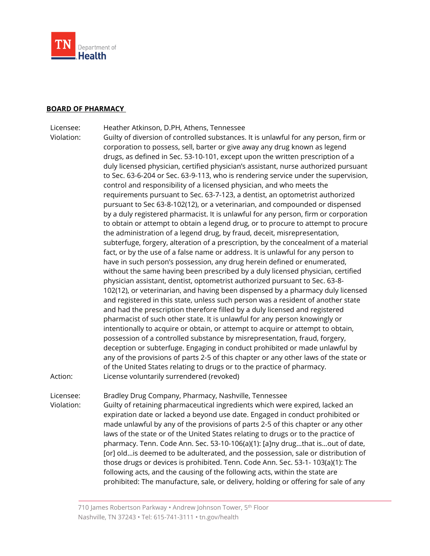

### **BOARD OF PHARMACY**

Licensee: Heather Atkinson, D.PH, Athens, Tennessee

Violation: Guilty of diversion of controlled substances. It is unlawful for any person, firm or corporation to possess, sell, barter or give away any drug known as legend drugs, as defined in Sec. 53-10-101, except upon the written prescription of a duly licensed physician, certified physician's assistant, nurse authorized pursuant to Sec. 63-6-204 or Sec. 63-9-113, who is rendering service under the supervision, control and responsibility of a licensed physician, and who meets the requirements pursuant to Sec. 63-7-123, a dentist, an optometrist authorized pursuant to Sec 63-8-102(12), or a veterinarian, and compounded or dispensed by a duly registered pharmacist. It is unlawful for any person, firm or corporation to obtain or attempt to obtain a legend drug, or to procure to attempt to procure the administration of a legend drug, by fraud, deceit, misrepresentation, subterfuge, forgery, alteration of a prescription, by the concealment of a material fact, or by the use of a false name or address. It is unlawful for any person to have in such person's possession, any drug herein defined or enumerated, without the same having been prescribed by a duly licensed physician, certified physician assistant, dentist, optometrist authorized pursuant to Sec. 63-8- 102(12), or veterinarian, and having been dispensed by a pharmacy duly licensed and registered in this state, unless such person was a resident of another state and had the prescription therefore filled by a duly licensed and registered pharmacist of such other state. It is unlawful for any person knowingly or intentionally to acquire or obtain, or attempt to acquire or attempt to obtain, possession of a controlled substance by misrepresentation, fraud, forgery, deception or subterfuge. Engaging in conduct prohibited or made unlawful by any of the provisions of parts 2-5 of this chapter or any other laws of the state or of the United States relating to drugs or to the practice of pharmacy. Action: License voluntarily surrendered (revoked)

Licensee: Bradley Drug Company, Pharmacy, Nashville, Tennessee Violation: Guilty of retaining pharmaceutical ingredients which were expired, lacked an expiration date or lacked a beyond use date. Engaged in conduct prohibited or made unlawful by any of the provisions of parts 2-5 of this chapter or any other laws of the state or of the United States relating to drugs or to the practice of pharmacy. Tenn. Code Ann. Sec. 53-10-106(a)(1): [a]ny drug…that is…out of date, [or] old…is deemed to be adulterated, and the possession, sale or distribution of those drugs or devices is prohibited. Tenn. Code Ann. Sec. 53-1- 103(a)(1): The following acts, and the causing of the following acts, within the state are prohibited: The manufacture, sale, or delivery, holding or offering for sale of any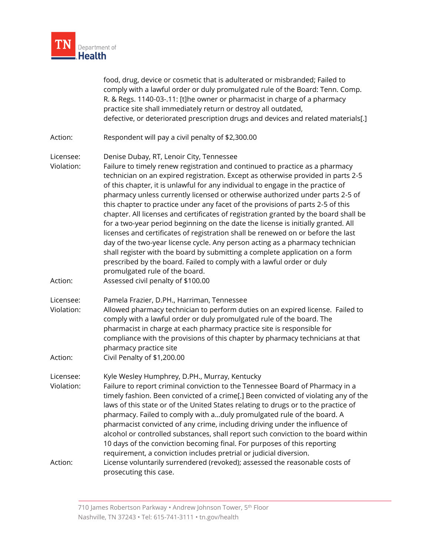

food, drug, device or cosmetic that is adulterated or misbranded; Failed to comply with a lawful order or duly promulgated rule of the Board: Tenn. Comp. R. & Regs. 1140-03-.11: [t]he owner or pharmacist in charge of a pharmacy practice site shall immediately return or destroy all outdated, defective, or deteriorated prescription drugs and devices and related materials[.]

- Action: Respondent will pay a civil penalty of \$2,300.00
- Licensee: Denise Dubay, RT, Lenoir City, Tennessee

Violation: Failure to timely renew registration and continued to practice as a pharmacy technician on an expired registration. Except as otherwise provided in parts 2-5 of this chapter, it is unlawful for any individual to engage in the practice of pharmacy unless currently licensed or otherwise authorized under parts 2-5 of this chapter to practice under any facet of the provisions of parts 2-5 of this chapter. All licenses and certificates of registration granted by the board shall be for a two-year period beginning on the date the license is initially granted. All licenses and certificates of registration shall be renewed on or before the last day of the two-year license cycle. Any person acting as a pharmacy technician shall register with the board by submitting a complete application on a form prescribed by the board. Failed to comply with a lawful order or duly promulgated rule of the board.

- Action: Assessed civil penalty of \$100.00
- Licensee: Pamela Frazier, D.PH., Harriman, Tennessee
- Violation: Allowed pharmacy technician to perform duties on an expired license. Failed to comply with a lawful order or duly promulgated rule of the board. The pharmacist in charge at each pharmacy practice site is responsible for compliance with the provisions of this chapter by pharmacy technicians at that pharmacy practice site
- Action: Civil Penalty of \$1,200.00

Licensee: Kyle Wesley Humphrey, D.PH., Murray, Kentucky

Violation: Failure to report criminal conviction to the Tennessee Board of Pharmacy in a timely fashion. Been convicted of a crime[.] Been convicted of violating any of the laws of this state or of the United States relating to drugs or to the practice of pharmacy. Failed to comply with a…duly promulgated rule of the board. A pharmacist convicted of any crime, including driving under the influence of alcohol or controlled substances, shall report such conviction to the board within 10 days of the conviction becoming final. For purposes of this reporting requirement, a conviction includes pretrial or judicial diversion. Action: License voluntarily surrendered (revoked); assessed the reasonable costs of prosecuting this case.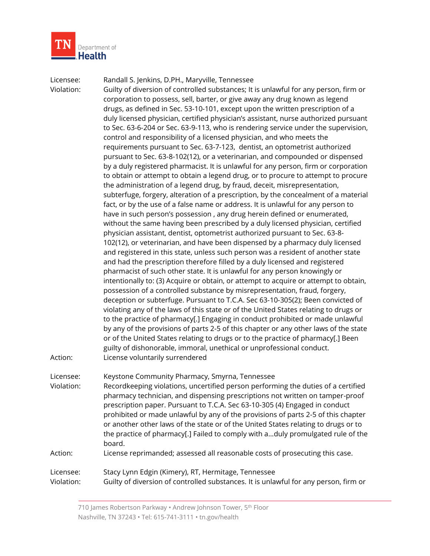

Licensee: Randall S. Jenkins, D.PH., Maryville, Tennessee Violation: Guilty of diversion of controlled substances; It is unlawful for any person, firm or corporation to possess, sell, barter, or give away any drug known as legend drugs, as defined in Sec. 53-10-101, except upon the written prescription of a duly licensed physician, certified physician's assistant, nurse authorized pursuant to Sec. 63-6-204 or Sec. 63-9-113, who is rendering service under the supervision, control and responsibility of a licensed physician, and who meets the requirements pursuant to Sec. 63-7-123, dentist, an optometrist authorized pursuant to Sec. 63-8-102(12), or a veterinarian, and compounded or dispensed by a duly registered pharmacist. It is unlawful for any person, firm or corporation to obtain or attempt to obtain a legend drug, or to procure to attempt to procure the administration of a legend drug, by fraud, deceit, misrepresentation, subterfuge, forgery, alteration of a prescription, by the concealment of a material fact, or by the use of a false name or address. It is unlawful for any person to have in such person's possession , any drug herein defined or enumerated, without the same having been prescribed by a duly licensed physician, certified physician assistant, dentist, optometrist authorized pursuant to Sec. 63-8- 102(12), or veterinarian, and have been dispensed by a pharmacy duly licensed and registered in this state, unless such person was a resident of another state and had the prescription therefore filled by a duly licensed and registered pharmacist of such other state. It is unlawful for any person knowingly or intentionally to: (3) Acquire or obtain, or attempt to acquire or attempt to obtain, possession of a controlled substance by misrepresentation, fraud, forgery, deception or subterfuge. Pursuant to T.C.A. Sec 63-10-305(2); Been convicted of violating any of the laws of this state or of the United States relating to drugs or to the practice of pharmacy[.] Engaging in conduct prohibited or made unlawful by any of the provisions of parts 2-5 of this chapter or any other laws of the state or of the United States relating to drugs or to the practice of pharmacy[.] Been guilty of dishonorable, immoral, unethical or unprofessional conduct. Action: License voluntarily surrendered Licensee: Keystone Community Pharmacy, Smyrna, Tennessee Violation: Recordkeeping violations, uncertified person performing the duties of a certified pharmacy technician, and dispensing prescriptions not written on tamper-proof prescription paper. Pursuant to T.C.A. Sec 63-10-305 (4) Engaged in conduct prohibited or made unlawful by any of the provisions of parts 2-5 of this chapter or another other laws of the state or of the United States relating to drugs or to the practice of pharmacy[.] Failed to comply with a…duly promulgated rule of the board. Action: License reprimanded; assessed all reasonable costs of prosecuting this case. Licensee: Stacy Lynn Edgin (Kimery), RT, Hermitage, Tennessee Violation: Guilty of diversion of controlled substances. It is unlawful for any person, firm or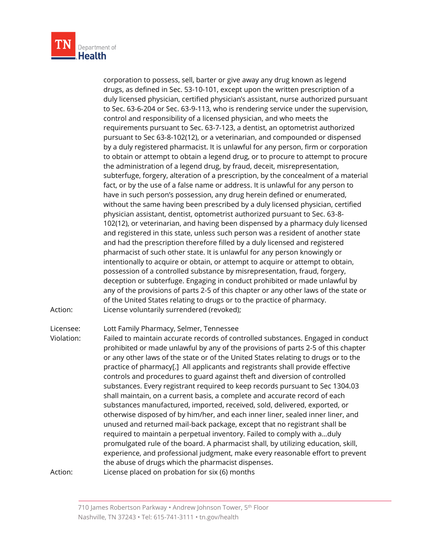

corporation to possess, sell, barter or give away any drug known as legend drugs, as defined in Sec. 53-10-101, except upon the written prescription of a duly licensed physician, certified physician's assistant, nurse authorized pursuant to Sec. 63-6-204 or Sec. 63-9-113, who is rendering service under the supervision, control and responsibility of a licensed physician, and who meets the requirements pursuant to Sec. 63-7-123, a dentist, an optometrist authorized pursuant to Sec 63-8-102(12), or a veterinarian, and compounded or dispensed by a duly registered pharmacist. It is unlawful for any person, firm or corporation to obtain or attempt to obtain a legend drug, or to procure to attempt to procure the administration of a legend drug, by fraud, deceit, misrepresentation, subterfuge, forgery, alteration of a prescription, by the concealment of a material fact, or by the use of a false name or address. It is unlawful for any person to have in such person's possession, any drug herein defined or enumerated, without the same having been prescribed by a duly licensed physician, certified physician assistant, dentist, optometrist authorized pursuant to Sec. 63-8- 102(12), or veterinarian, and having been dispensed by a pharmacy duly licensed and registered in this state, unless such person was a resident of another state and had the prescription therefore filled by a duly licensed and registered pharmacist of such other state. It is unlawful for any person knowingly or intentionally to acquire or obtain, or attempt to acquire or attempt to obtain, possession of a controlled substance by misrepresentation, fraud, forgery, deception or subterfuge. Engaging in conduct prohibited or made unlawful by any of the provisions of parts 2-5 of this chapter or any other laws of the state or of the United States relating to drugs or to the practice of pharmacy. Action: License voluntarily surrendered (revoked);

Licensee: Lott Family Pharmacy, Selmer, Tennessee

Violation: Failed to maintain accurate records of controlled substances. Engaged in conduct prohibited or made unlawful by any of the provisions of parts 2-5 of this chapter or any other laws of the state or of the United States relating to drugs or to the practice of pharmacy[.] All applicants and registrants shall provide effective controls and procedures to guard against theft and diversion of controlled substances. Every registrant required to keep records pursuant to Sec 1304.03 shall maintain, on a current basis, a complete and accurate record of each substances manufactured, imported, received, sold, delivered, exported, or otherwise disposed of by him/her, and each inner liner, sealed inner liner, and unused and returned mail-back package, except that no registrant shall be required to maintain a perpetual inventory. Failed to comply with a…duly promulgated rule of the board. A pharmacist shall, by utilizing education, skill, experience, and professional judgment, make every reasonable effort to prevent the abuse of drugs which the pharmacist dispenses.

Action: License placed on probation for six (6) months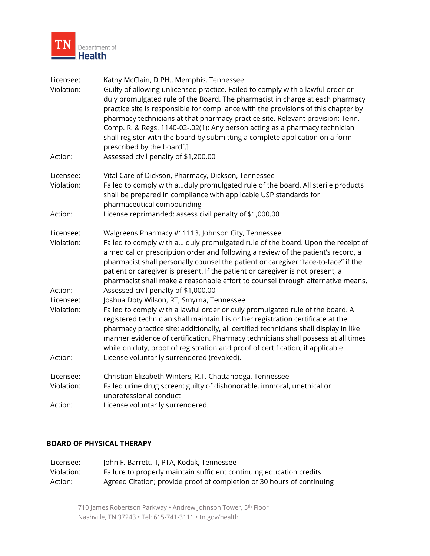

| Licensee:<br>Violation:            | Kathy McClain, D.PH., Memphis, Tennessee<br>Guilty of allowing unlicensed practice. Failed to comply with a lawful order or<br>duly promulgated rule of the Board. The pharmacist in charge at each pharmacy<br>practice site is responsible for compliance with the provisions of this chapter by<br>pharmacy technicians at that pharmacy practice site. Relevant provision: Tenn.<br>Comp. R. & Regs. 1140-02-.02(1): Any person acting as a pharmacy technician<br>shall register with the board by submitting a complete application on a form<br>prescribed by the board[.] |
|------------------------------------|-----------------------------------------------------------------------------------------------------------------------------------------------------------------------------------------------------------------------------------------------------------------------------------------------------------------------------------------------------------------------------------------------------------------------------------------------------------------------------------------------------------------------------------------------------------------------------------|
| Action:                            | Assessed civil penalty of \$1,200.00                                                                                                                                                                                                                                                                                                                                                                                                                                                                                                                                              |
| Licensee:<br>Violation:            | Vital Care of Dickson, Pharmacy, Dickson, Tennessee<br>Failed to comply with aduly promulgated rule of the board. All sterile products<br>shall be prepared in compliance with applicable USP standards for<br>pharmaceutical compounding                                                                                                                                                                                                                                                                                                                                         |
| Action:                            | License reprimanded; assess civil penalty of \$1,000.00                                                                                                                                                                                                                                                                                                                                                                                                                                                                                                                           |
| Licensee:<br>Violation:            | Walgreens Pharmacy #11113, Johnson City, Tennessee<br>Failed to comply with a duly promulgated rule of the board. Upon the receipt of<br>a medical or prescription order and following a review of the patient's record, a<br>pharmacist shall personally counsel the patient or caregiver "face-to-face" if the<br>patient or caregiver is present. If the patient or caregiver is not present, a<br>pharmacist shall make a reasonable effort to counsel through alternative means.                                                                                             |
| Action:                            | Assessed civil penalty of \$1,000.00                                                                                                                                                                                                                                                                                                                                                                                                                                                                                                                                              |
| Licensee:<br>Violation:            | Joshua Doty Wilson, RT, Smyrna, Tennessee<br>Failed to comply with a lawful order or duly promulgated rule of the board. A<br>registered technician shall maintain his or her registration certificate at the<br>pharmacy practice site; additionally, all certified technicians shall display in like<br>manner evidence of certification. Pharmacy technicians shall possess at all times<br>while on duty, proof of registration and proof of certification, if applicable.                                                                                                    |
| Action:                            | License voluntarily surrendered (revoked).                                                                                                                                                                                                                                                                                                                                                                                                                                                                                                                                        |
| Licensee:<br>Violation:<br>Action: | Christian Elizabeth Winters, R.T. Chattanooga, Tennessee<br>Failed urine drug screen; guilty of dishonorable, immoral, unethical or<br>unprofessional conduct<br>License voluntarily surrendered.                                                                                                                                                                                                                                                                                                                                                                                 |
|                                    |                                                                                                                                                                                                                                                                                                                                                                                                                                                                                                                                                                                   |

## **BOARD OF PHYSICAL THERAPY**

| Licensee:  | John F. Barrett, II, PTA, Kodak, Tennessee                             |
|------------|------------------------------------------------------------------------|
| Violation: | Failure to properly maintain sufficient continuing education credits   |
| Action:    | Agreed Citation; provide proof of completion of 30 hours of continuing |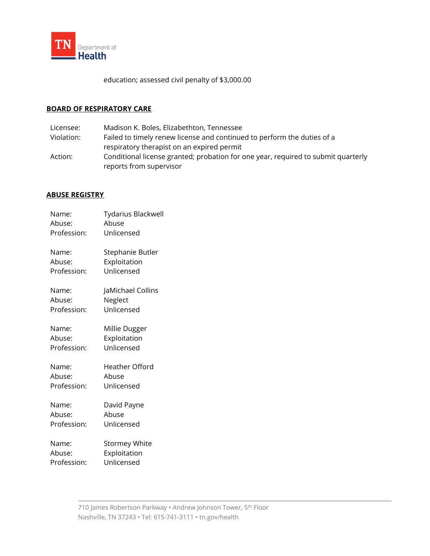

education; assessed civil penalty of \$3,000.00

## **BOARD OF RESPIRATORY CARE**

Licensee: Madison K. Boles, Elizabethton, Tennessee Violation: Failed to timely renew license and continued to perform the duties of a respiratory therapist on an expired permit Action: Conditional license granted; probation for one year, required to submit quarterly reports from supervisor

# **ABUSE REGISTRY**

| Name:<br>Abuse: | <b>Tydarius Blackwell</b><br>Abuse |
|-----------------|------------------------------------|
| Profession:     | Unlicensed                         |
| Name:           | Stephanie Butler                   |
| Abuse:          | Exploitation                       |
| Profession:     | Unlicensed                         |
| Name:           | JaMichael Collins                  |
| Abuse:          | Neglect                            |
| Profession:     | Unlicensed                         |
| Name:           | Millie Dugger                      |
| Abuse:          | Exploitation                       |
| Profession:     | Unlicensed                         |
| Name:           | Heather Offord                     |
| Abuse:          | Abuse                              |
| Profession:     | Unlicensed                         |
| Name:           | David Payne                        |
| Abuse:          | Abuse                              |
| Profession:     | Unlicensed                         |
| Name:           | <b>Stormey White</b>               |
| Abuse:          | Exploitation                       |
| Profession:     | Unlicensed                         |
|                 |                                    |